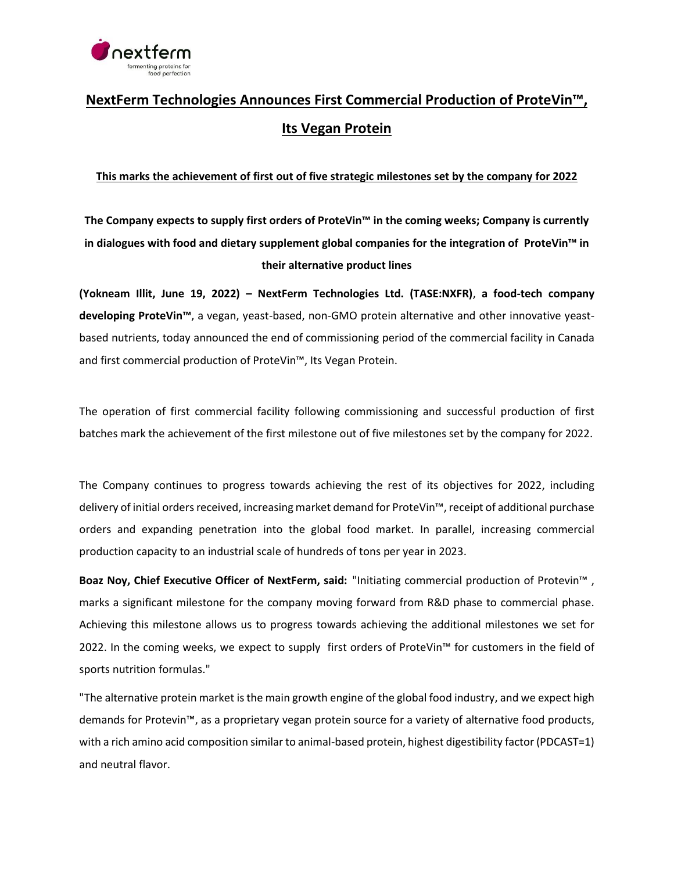

## **NextFerm Technologies Announces First Commercial Production of ProteVin™, Its Vegan Protein**

## **This marks the achievement of first out of five strategic milestones set by the company for 2022**

**The Company expects to supply first orders of ProteVin™ in the coming weeks; Company is currently in dialogues with food and dietary supplement global companies for the integration of ProteVin™ in their alternative product lines**

**(Yokneam Illit, June 19, 2022) – NextFerm Technologies Ltd. (TASE:NXFR)**, **a food-tech company developing ProteVin™**, a vegan, yeast-based, non-GMO protein alternative and other innovative yeastbased nutrients, today announced the end of commissioning period of the commercial facility in Canada and first commercial production of ProteVin™, Its Vegan Protein.

The operation of first commercial facility following commissioning and successful production of first batches mark the achievement of the first milestone out of five milestones set by the company for 2022.

The Company continues to progress towards achieving the rest of its objectives for 2022, including delivery of initial orders received, increasing market demand for ProteVin™, receipt of additional purchase orders and expanding penetration into the global food market. In parallel, increasing commercial production capacity to an industrial scale of hundreds of tons per year in 2023.

**Boaz Noy, Chief Executive Officer of NextFerm, said:** "Initiating commercial production of Protevin™ , marks a significant milestone for the company moving forward from R&D phase to commercial phase. Achieving this milestone allows us to progress towards achieving the additional milestones we set for 2022. In the coming weeks, we expect to supply first orders of ProteVin™ for customers in the field of sports nutrition formulas."

"The alternative protein market is the main growth engine of the global food industry, and we expect high demands for Protevin™, as a proprietary vegan protein source for a variety of alternative food products, with a rich amino acid composition similar to animal-based protein, highest digestibility factor (PDCAST=1) and neutral flavor.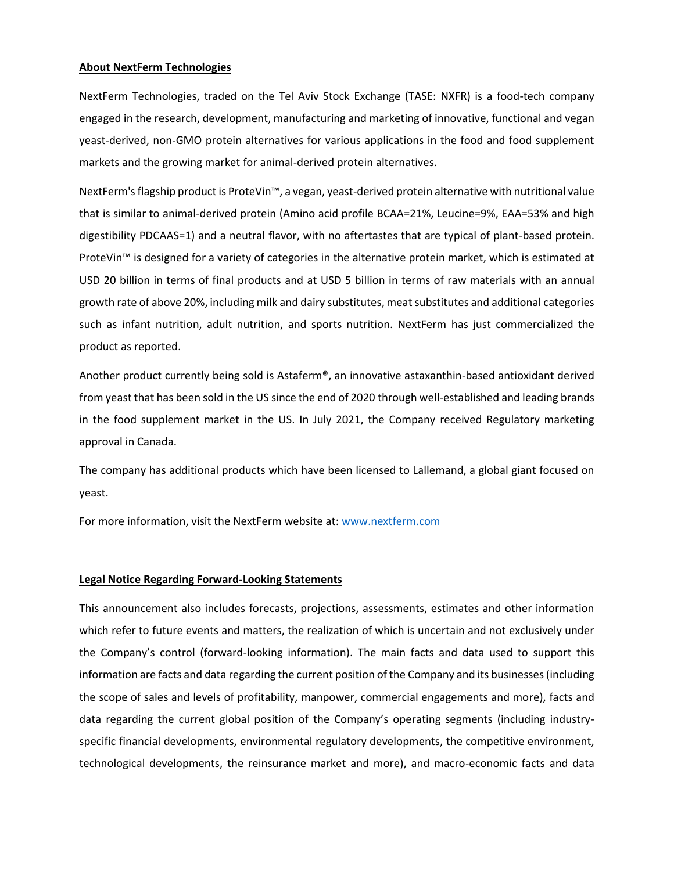## **About NextFerm Technologies**

NextFerm Technologies, traded on the Tel Aviv Stock Exchange (TASE: NXFR) is a food-tech company engaged in the research, development, manufacturing and marketing of innovative, functional and vegan yeast-derived, non-GMO protein alternatives for various applications in the food and food supplement markets and the growing market for animal-derived protein alternatives.

NextFerm's flagship product is ProteVin™, a vegan, yeast-derived protein alternative with nutritional value that is similar to animal-derived protein (Amino acid profile BCAA=21%, Leucine=9%, EAA=53% and high digestibility PDCAAS=1) and a neutral flavor, with no aftertastes that are typical of plant-based protein. ProteVin™ is designed for a variety of categories in the alternative protein market, which is estimated at USD 20 billion in terms of final products and at USD 5 billion in terms of raw materials with an annual growth rate of above 20%, including milk and dairy substitutes, meat substitutes and additional categories such as infant nutrition, adult nutrition, and sports nutrition. NextFerm has just commercialized the product as reported.

Another product currently being sold is Astaferm®, an innovative astaxanthin-based antioxidant derived from yeast that has been sold in the US since the end of 2020 through well-established and leading brands in the food supplement market in the US. In July 2021, the Company received Regulatory marketing approval in Canada.

The company has additional products which have been licensed to Lallemand, a global giant focused on yeast.

For more information, visit the NextFerm website at: [www.nextferm.com](http://www.nextferm.com/)

## **Legal Notice Regarding Forward-Looking Statements**

This announcement also includes forecasts, projections, assessments, estimates and other information which refer to future events and matters, the realization of which is uncertain and not exclusively under the Company's control (forward-looking information). The main facts and data used to support this information are facts and data regarding the current position of the Company and its businesses (including the scope of sales and levels of profitability, manpower, commercial engagements and more), facts and data regarding the current global position of the Company's operating segments (including industryspecific financial developments, environmental regulatory developments, the competitive environment, technological developments, the reinsurance market and more), and macro-economic facts and data